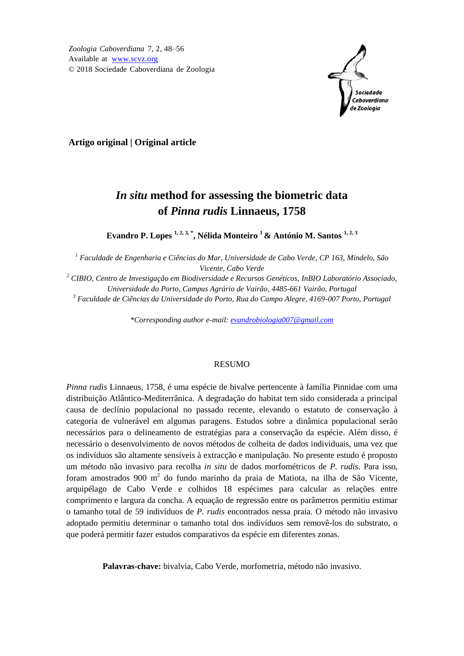*Zoologia Caboverdiana* 7, 2, 48–56 Available at [www.scvz.org](http://www.scvz.org/) © 2018 Sociedade Caboverdiana de Zoologia



**Artigo original | Original article**

# *In situ* **method for assessing the biometric data of** *Pinna rudis* **Linnaeus, 1758**

**Evandro P. Lopes 1, 2, 3, \*, Nélida Monteiro <sup>1</sup>& António M. Santos 1, 2, 3**

*<sup>1</sup> Faculdade de Engenharia e Ciências do Mar, Universidade de Cabo Verde, CP 163, Mindelo, São Vicente, Cabo Verde*

*<sup>2</sup> CIBIO, Centro de Investigação em Biodiversidade e Recursos Genéticos, InBIO Laboratório Associado, Universidade do Porto, Campus Agrário de Vairão, 4485-661 Vairão, Portugal <sup>3</sup> Faculdade de Ciências da Universidade do Porto, Rua do Campo Alegre, 4169-007 Porto, Portugal*

*\*Corresponding author e-mail: [evandrobiologia007@gmail.com](mailto:evandrobiologia007@gmail.com)*

### RESUMO

*Pinna rudis* Linnaeus, 1758, é uma espécie de bivalve pertencente à família Pinnidae com uma distribuição Atlântico-Mediterrânica. A degradação do habitat tem sido considerada a principal causa de declínio populacional no passado recente, elevando o estatuto de conservação à categoria de vulnerável em algumas paragens. Estudos sobre a dinâmica populacional serão necessários para o delineamento de estratégias para a conservação da espécie. Além disso, é necessário o desenvolvimento de novos métodos de colheita de dados individuais, uma vez que os indivíduos são altamente sensíveis à extracção e manipulação. No presente estudo é proposto um método não invasivo para recolha *in situ* de dados morfométricos de *P. rudis*. Para isso, foram amostrados 900 m 2 do fundo marinho da praia de Matiota, na ilha de São Vicente, arquipélago de Cabo Verde e colhidos 18 espécimes para calcular as relações entre comprimento e largura da concha. A equação de regressão entre os parâmetros permitiu estimar o tamanho total de 59 indivíduos de *P. rudis* encontrados nessa praia. O método não invasivo adoptado permitiu determinar o tamanho total dos indivíduos sem removê-los do substrato, o que poderá permitir fazer estudos comparativos da espécie em diferentes zonas.

**Palavras-chave:** bivalvia, Cabo Verde, morfometria, método não invasivo.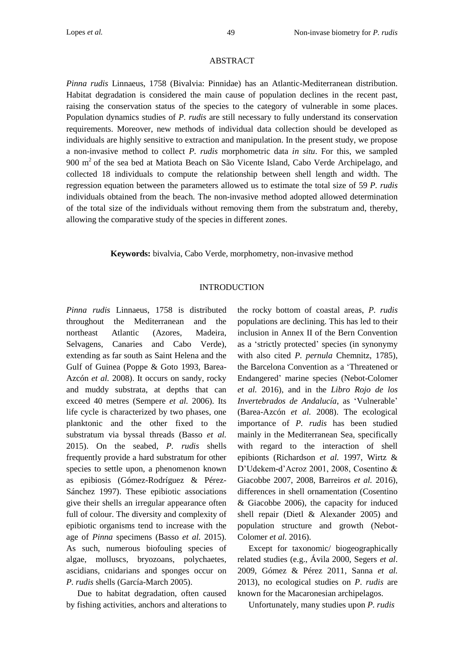#### ABSTRACT

*Pinna rudis* Linnaeus, 1758 (Bivalvia: Pinnidae) has an Atlantic-Mediterranean distribution. Habitat degradation is considered the main cause of population declines in the recent past, raising the conservation status of the species to the category of vulnerable in some places. Population dynamics studies of *P. rudis* are still necessary to fully understand its conservation requirements. Moreover, new methods of individual data collection should be developed as individuals are highly sensitive to extraction and manipulation. In the present study, we propose a non-invasive method to collect *P. rudis* morphometric data *in situ*. For this, we sampled 900 m<sup>2</sup> of the sea bed at Matiota Beach on São Vicente Island, Cabo Verde Archipelago, and collected 18 individuals to compute the relationship between shell length and width. The regression equation between the parameters allowed us to estimate the total size of 59 *P. rudis* individuals obtained from the beach. The non-invasive method adopted allowed determination of the total size of the individuals without removing them from the substratum and, thereby, allowing the comparative study of the species in different zones.

**Keywords:** bivalvia, Cabo Verde, morphometry, non-invasive method

# INTRODUCTION

*Pinna rudis* Linnaeus, 1758 is distributed throughout the Mediterranean and the northeast Atlantic (Azores, Madeira, Selvagens, Canaries and Cabo Verde), extending as far south as Saint Helena and the Gulf of Guinea (Poppe & Goto 1993, Barea-Azcón *et al.* 2008). It occurs on sandy, rocky and muddy substrata, at depths that can exceed 40 metres (Sempere *et al.* 2006). Its life cycle is characterized by two phases, one planktonic and the other fixed to the substratum via byssal threads (Basso *et al.*  2015). On the seabed, *P. rudis* shells frequently provide a hard substratum for other species to settle upon, a phenomenon known as epibiosis (Gómez-Rodríguez & Pérez-Sánchez 1997). These epibiotic associations give their shells an irregular appearance often full of colour. The diversity and complexity of epibiotic organisms tend to increase with the age of *Pinna* specimens (Basso *et al.* 2015). As such, numerous biofouling species of algae, molluscs, bryozoans, polychaetes, ascidians, cnidarians and sponges occur on *P. rudis* shells (García-March 2005).

Due to habitat degradation, often caused by fishing activities, anchors and alterations to

the rocky bottom of coastal areas, *P. rudis* populations are declining. This has led to their inclusion in Annex II of the Bern Convention as a 'strictly protected' species (in synonymy with also cited *P. pernula* Chemnitz, 1785), the Barcelona Convention as a 'Threatened or Endangered' marine species (Nebot-Colomer *et al.* 2016), and in the *Libro Rojo de los Invertebrados de Andalucía*, as 'Vulnerable' (Barea-Azcón *et al.* 2008). The ecological importance of *P. rudis* has been studied mainly in the Mediterranean Sea, specifically with regard to the interaction of shell epibionts (Richardson *et al.* 1997, Wirtz & D'Udekem-d'Acroz 2001, 2008, Cosentino & Giacobbe 2007, 2008, Barreiros *et al.* 2016), differences in shell ornamentation (Cosentino & Giacobbe 2006), the capacity for induced shell repair (Dietl & Alexander 2005) and population structure and growth (Nebot-Colomer *et al.* 2016).

Except for taxonomic/ biogeographically related studies (e.g., Ávila 2000, Segers *et al*. 2009, Gómez & Pérez 2011, Sanna *et al.* 2013), no ecological studies on *P*. *rudis* are known for the Macaronesian archipelagos.

Unfortunately, many studies upon *P. rudis*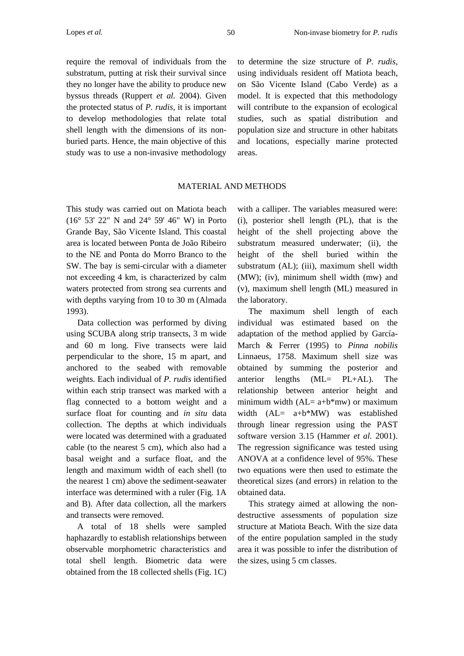require the removal of individuals from the substratum, putting at risk their survival since they no longer have the ability to produce new byssus threads (Ruppert *et al.* 2004). Given the protected status of *P. rudis*, it is important to develop methodologies that relate total shell length with the dimensions of its nonburied parts. Hence, the main objective of this study was to use a non-invasive methodology

to determine the size structure of *P. rudis*, using individuals resident off Matiota beach, on São Vicente Island (Cabo Verde) as a model. It is expected that this methodology will contribute to the expansion of ecological studies, such as spatial distribution and population size and structure in other habitats and locations, especially marine protected areas.

### MATERIAL AND METHODS

This study was carried out on Matiota beach (16° 53' 22" N and 24° 59' 46" W) in Porto Grande Bay, São Vicente Island. This coastal area is located between Ponta de João Ribeiro to the NE and Ponta do Morro Branco to the SW. The bay is semi-circular with a diameter not exceeding 4 km, is characterized by calm waters protected from strong sea currents and with depths varying from 10 to 30 m (Almada 1993).

Data collection was performed by diving using SCUBA along strip transects, 3 m wide and 60 m long. Five transects were laid perpendicular to the shore, 15 m apart, and anchored to the seabed with removable weights. Each individual of *P. rudis* identified within each strip transect was marked with a flag connected to a bottom weight and a surface float for counting and *in situ* data collection. The depths at which individuals were located was determined with a graduated cable (to the nearest 5 cm), which also had a basal weight and a surface float, and the length and maximum width of each shell (to the nearest 1 cm) above the sediment-seawater interface was determined with a ruler (Fig. 1A and B). After data collection, all the markers and transects were removed.

A total of 18 shells were sampled haphazardly to establish relationships between observable morphometric characteristics and total shell length. Biometric data were obtained from the 18 collected shells (Fig. 1C) with a calliper. The variables measured were: (i), posterior shell length (PL), that is the height of the shell projecting above the substratum measured underwater; (ii), the height of the shell buried within the substratum (AL); (iii), maximum shell width (MW); (iv), minimum shell width (mw) and (v), maximum shell length (ML) measured in the laboratory.

The maximum shell length of each individual was estimated based on the adaptation of the method applied by García-March & Ferrer (1995) to *Pinna nobilis* Linnaeus, 1758. Maximum shell size was obtained by summing the posterior and anterior lengths (ML= PL+AL). The relationship between anterior height and minimum width  $(AL= a+b*mw)$  or maximum width (AL= a+b\*MW) was established through linear regression using the PAST software version 3.15 (Hammer *et al.* 2001). The regression significance was tested using ANOVA at a confidence level of 95%. These two equations were then used to estimate the theoretical sizes (and errors) in relation to the obtained data.

This strategy aimed at allowing the nondestructive assessments of population size structure at Matiota Beach. With the size data of the entire population sampled in the study area it was possible to infer the distribution of the sizes, using 5 cm classes.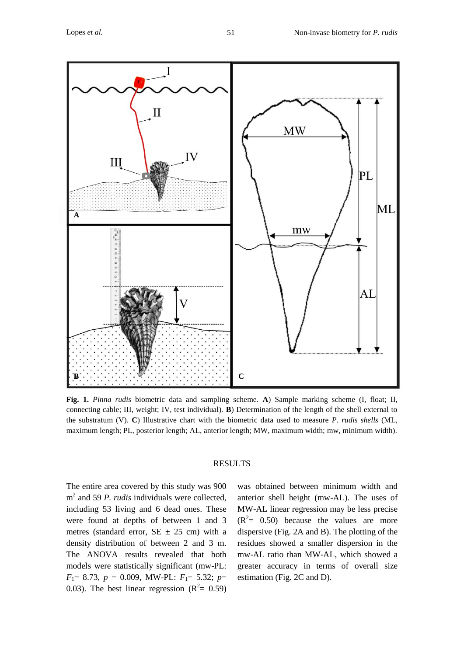

**Fig. 1.** *Pinna rudis* biometric data and sampling scheme. **A**) Sample marking scheme (I, float; II, connecting cable; III, weight; IV, test individual). **B**) Determination of the length of the shell external to the substratum (V). **C**) Illustrative chart with the biometric data used to measure *P. rudis shells* (ML, maximum length; PL, posterior length; AL, anterior length; MW, maximum width; mw, minimum width).

#### RESULTS

The entire area covered by this study was 900 m 2 and 59 *P. rudis* individuals were collected, including 53 living and 6 dead ones. These were found at depths of between 1 and 3 metres (standard error,  $SE \pm 25$  cm) with a density distribution of between 2 and 3 m. The ANOVA results revealed that both models were statistically significant (mw-PL: *F*1= 8.73, *p* = 0.009, MW-PL: *F*1= 5.32; *p*= 0.03). The best linear regression  $(R^2 = 0.59)$ 

was obtained between minimum width and anterior shell height (mw-AL). The uses of MW-AL linear regression may be less precise  $(R<sup>2</sup>= 0.50)$  because the values are more dispersive (Fig. 2A and B). The plotting of the residues showed a smaller dispersion in the mw-AL ratio than MW-AL, which showed a greater accuracy in terms of overall size estimation (Fig. 2C and D).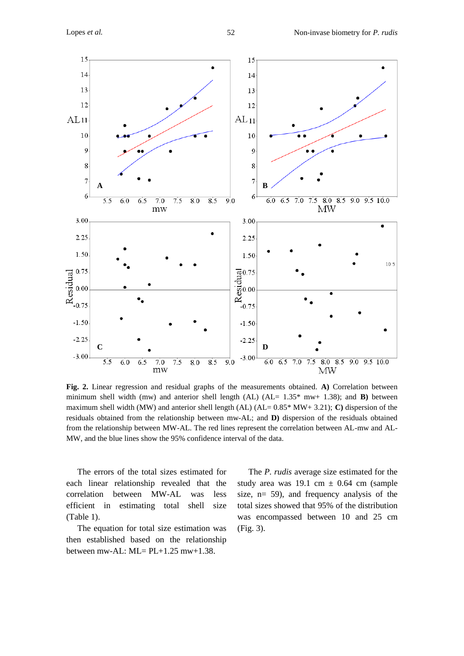

**Fig. 2.** Linear regression and residual graphs of the measurements obtained. **A)** Correlation between minimum shell width (mw) and anterior shell length (AL)  $(AL = 1.35*$  mw+ 1.38); and **B**) between maximum shell width (MW) and anterior shell length (AL) (AL= 0.85\* MW+ 3.21); **C)** dispersion of the residuals obtained from the relationship between mw-AL; and **D)** dispersion of the residuals obtained from the relationship between MW-AL. The red lines represent the correlation between AL-mw and AL-MW, and the blue lines show the 95% confidence interval of the data.

The errors of the total sizes estimated for each linear relationship revealed that the correlation between MW-AL was less efficient in estimating total shell size (Table 1).

The equation for total size estimation was then established based on the relationship between mw-AL:  $ML = PL+1.25$  mw+1.38.

The *P. rudis* average size estimated for the study area was 19.1 cm  $\pm$  0.64 cm (sample size, n= 59), and frequency analysis of the total sizes showed that 95% of the distribution was encompassed between 10 and 25 cm (Fig. 3).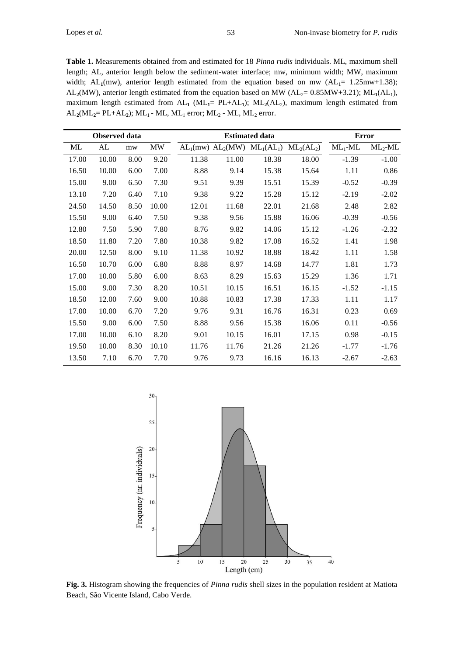**Table 1.** Measurements obtained from and estimated for 18 *Pinna rudis* individuals. ML, maximum shell length; AL, anterior length below the sediment-water interface; mw, minimum width; MW, maximum width;  $AL_1$ (mw), anterior length estimated from the equation based on mw  $(AL_1 = 1.25 \text{m} \text{w} + 1.38)$ ; AL<sub>2</sub>(MW), anterior length estimated from the equation based on MW ( $AL_2$ = 0.85MW+3.21); ML<sub>1</sub>( $AL_1$ ), maximum length estimated from AL<sub>1</sub> (ML<sub>1</sub>= PL+AL<sub>1</sub>); ML<sub>2</sub>(AL<sub>2</sub>), maximum length estimated from  $AL_2(ML_2 = PL+AL_2)$ ;  $ML_1$  -  $ML$ ,  $ML_1$  error;  $ML_2$  -  $ML$ ,  $ML_2$  error.

|       | Observed data |      |       | <b>Estimated data</b> |                                    |       |              | <b>Error</b> |            |
|-------|---------------|------|-------|-----------------------|------------------------------------|-------|--------------|--------------|------------|
| ML    | AL            | mw   | MW    |                       | $AL_1(mw)$ $AL_2(MW)$ $ML_1(AL_1)$ |       | $ML_2(AL_2)$ | $ML_1$ -ML   | $ML_2$ -ML |
| 17.00 | 10.00         | 8.00 | 9.20  | 11.38                 | 11.00                              | 18.38 | 18.00        | $-1.39$      | $-1.00$    |
| 16.50 | 10.00         | 6.00 | 7.00  | 8.88                  | 9.14                               | 15.38 | 15.64        | 1.11         | 0.86       |
| 15.00 | 9.00          | 6.50 | 7.30  | 9.51                  | 9.39                               | 15.51 | 15.39        | $-0.52$      | $-0.39$    |
| 13.10 | 7.20          | 6.40 | 7.10  | 9.38                  | 9.22                               | 15.28 | 15.12        | $-2.19$      | $-2.02$    |
| 24.50 | 14.50         | 8.50 | 10.00 | 12.01                 | 11.68                              | 22.01 | 21.68        | 2.48         | 2.82       |
| 15.50 | 9.00          | 6.40 | 7.50  | 9.38                  | 9.56                               | 15.88 | 16.06        | $-0.39$      | $-0.56$    |
| 12.80 | 7.50          | 5.90 | 7.80  | 8.76                  | 9.82                               | 14.06 | 15.12        | $-1.26$      | $-2.32$    |
| 18.50 | 11.80         | 7.20 | 7.80  | 10.38                 | 9.82                               | 17.08 | 16.52        | 1.41         | 1.98       |
| 20.00 | 12.50         | 8.00 | 9.10  | 11.38                 | 10.92                              | 18.88 | 18.42        | 1.11         | 1.58       |
| 16.50 | 10.70         | 6.00 | 6.80  | 8.88                  | 8.97                               | 14.68 | 14.77        | 1.81         | 1.73       |
| 17.00 | 10.00         | 5.80 | 6.00  | 8.63                  | 8.29                               | 15.63 | 15.29        | 1.36         | 1.71       |
| 15.00 | 9.00          | 7.30 | 8.20  | 10.51                 | 10.15                              | 16.51 | 16.15        | $-1.52$      | $-1.15$    |
| 18.50 | 12.00         | 7.60 | 9.00  | 10.88                 | 10.83                              | 17.38 | 17.33        | 1.11         | 1.17       |
| 17.00 | 10.00         | 6.70 | 7.20  | 9.76                  | 9.31                               | 16.76 | 16.31        | 0.23         | 0.69       |
| 15.50 | 9.00          | 6.00 | 7.50  | 8.88                  | 9.56                               | 15.38 | 16.06        | 0.11         | $-0.56$    |
| 17.00 | 10.00         | 6.10 | 8.20  | 9.01                  | 10.15                              | 16.01 | 17.15        | 0.98         | $-0.15$    |
| 19.50 | 10.00         | 8.30 | 10.10 | 11.76                 | 11.76                              | 21.26 | 21.26        | -1.77        | $-1.76$    |
| 13.50 | 7.10          | 6.70 | 7.70  | 9.76                  | 9.73                               | 16.16 | 16.13        | $-2.67$      | $-2.63$    |



**Fig. 3.** Histogram showing the frequencies of *Pinna rudis* shell sizes in the population resident at Matiota Beach, São Vicente Island, Cabo Verde.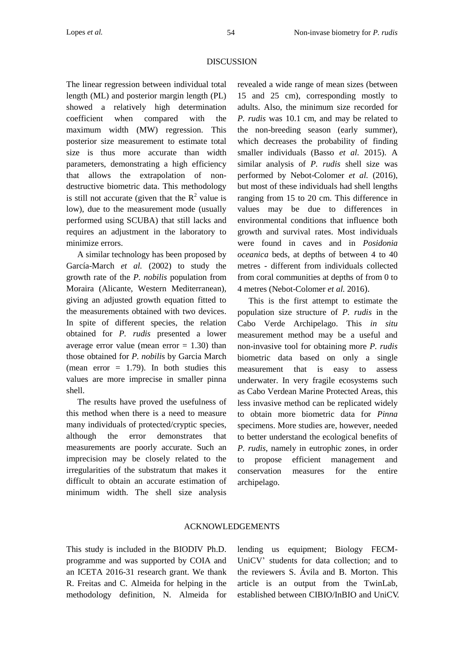## DISCUSSION

The linear regression between individual total length (ML) and posterior margin length (PL) showed a relatively high determination coefficient when compared with the maximum width (MW) regression. This posterior size measurement to estimate total size is thus more accurate than width parameters, demonstrating a high efficiency that allows the extrapolation of nondestructive biometric data. This methodology is still not accurate (given that the  $R^2$  value is low), due to the measurement mode (usually performed using SCUBA) that still lacks and requires an adjustment in the laboratory to minimize errors.

A similar technology has been proposed by García-March *et al.* (2002) to study the growth rate of the *P. nobilis* population from Moraira (Alicante, Western Mediterranean), giving an adjusted growth equation fitted to the measurements obtained with two devices. In spite of different species, the relation obtained for *P. rudis* presented a lower average error value (mean error  $= 1.30$ ) than those obtained for *P. nobili*s by Garcia March (mean error  $= 1.79$ ). In both studies this values are more imprecise in smaller pinna shell.

The results have proved the usefulness of this method when there is a need to measure many individuals of protected/cryptic species, although the error demonstrates that measurements are poorly accurate. Such an imprecision may be closely related to the irregularities of the substratum that makes it difficult to obtain an accurate estimation of minimum width. The shell size analysis

revealed a wide range of mean sizes (between 15 and 25 cm), corresponding mostly to adults. Also, the minimum size recorded for *P. rudis* was 10.1 cm, and may be related to the non-breeding season (early summer), which decreases the probability of finding smaller individuals (Basso *et al.* 2015). A similar analysis of *P. rudis* shell size was performed by Nebot-Colomer *et al.* (2016), but most of these individuals had shell lengths ranging from 15 to 20 cm. This difference in values may be due to differences in environmental conditions that influence both growth and survival rates. Most individuals were found in caves and in *Posidonia oceanica* beds, at depths of between 4 to 40 metres - different from individuals collected from coral communities at depths of from 0 to 4 metres (Nebot-Colomer *et al.* 2016).

This is the first attempt to estimate the population size structure of *P. rudis* in the Cabo Verde Archipelago. This *in situ* measurement method may be a useful and non-invasive tool for obtaining more *P. rudis* biometric data based on only a single measurement that is easy to assess underwater. In very fragile ecosystems such as Cabo Verdean Marine Protected Areas, this less invasive method can be replicated widely to obtain more biometric data for *Pinna* specimens. More studies are, however, needed to better understand the ecological benefits of *P. rudis*, namely in eutrophic zones, in order to propose efficient management and conservation measures for the entire archipelago.

# ACKNOWLEDGEMENTS

This study is included in the BIODIV Ph.D. programme and was supported by COIA and an ICETA 2016-31 research grant. We thank R. Freitas and C. Almeida for helping in the methodology definition, N. Almeida for lending us equipment; Biology FECM-UniCV' students for data collection; and to the reviewers S. Ávila and B. Morton. This article is an output from the TwinLab, established between CIBIO/InBIO and UniCV.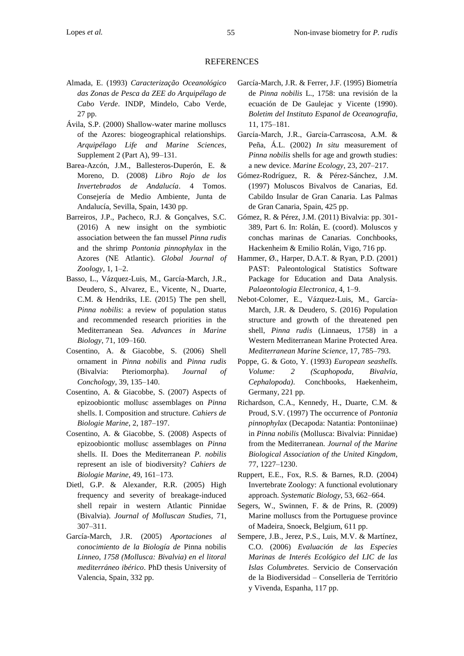#### REFERENCES

- Almada, E. (1993) *Caracterização Oceanológico das Zonas de Pesca da ZEE do Arquipélago de Cabo Verde*. INDP, Mindelo, Cabo Verde, 27 pp.
- Ávila, S.P. (2000) Shallow-water marine molluscs of the Azores: biogeographical relationships. *Arquipélago Life and Marine Sciences*, Supplement 2 (Part A), 99–131.
- Barea-Azcón, J.M., Ballesteros-Duperón, E. & Moreno, D. (2008) *Libro Rojo de los Invertebrados de Andalucía*. 4 Tomos. Consejería de Medio Ambiente, Junta de Andalucía, Sevilla, Spain, 1430 pp.
- Barreiros, J.P., Pacheco, R.J. & Gonçalves, S.C. (2016) A new insight on the symbiotic association between the fan mussel *Pinna rudis* and the shrimp *Pontonia pinnophylax* in the Azores (NE Atlantic). *Global Journal of Zoology,* 1, 1–2.
- Basso, L., Vázquez-Luis, M., García-March, J.R., Deudero, S., Alvarez, E., Vicente, N., Duarte, C.M. & Hendriks, I.E. (2015) The pen shell, *Pinna nobilis*: a review of population status and recommended research priorities in the Mediterranean Sea. *Advances in Marine Biology*, 71, 109–160.
- Cosentino, A. & Giacobbe, S. (2006) Shell ornament in *Pinna nobilis* and *Pinna rudis* (Bivalvia: Pteriomorpha). *Journal of Conchology,* 39, 135–140.
- Cosentino, A. & Giacobbe, S. (2007) Aspects of epizoobiontic mollusc assemblages on *Pinna* shells. I. Composition and structure. *Cahiers de Biologie Marine*, 2, 187–197.
- Cosentino, A. & Giacobbe, S. (2008) Aspects of epizoobiontic mollusc assemblages on *Pinna* shells. II. Does the Mediterranean *P. nobilis* represent an isle of biodiversity? *Cahiers de Biologie Marine*, 49, 161–173.
- Dietl, G.P. & Alexander, R.R. (2005) High frequency and severity of breakage-induced shell repair in western Atlantic Pinnidae (Bivalvia). *Journal of Molluscan Studies*, 71, 307–311.
- García-March, J.R. (2005) *Aportaciones al conocimiento de la Biología de* Pinna nobilis *Linneo, 1758 (Mollusca: Bivalvia) en el litoral mediterráneo ibérico*. PhD thesis University of Valencia, Spain, 332 pp.
- García-March, J.R. & Ferrer, J.F. (1995) Biometría de *Pinna nobilis* L., 1758: una revisión de la ecuación de De Gaulejac y Vicente (1990). *Boletim del Instituto Espanol de Oceanografia*, 11, 175–181.
- García‐March, J.R., García‐Carrascosa, A.M. & Peña, Á.L. (2002) *In situ* measurement of *Pinna nobilis* shells for age and growth studies: a new device. *Marine Ecology*, 23, 207–217.
- Gómez-Rodríguez, R. & Pérez-Sánchez, J.M. (1997) Moluscos Bivalvos de Canarias, Ed. Cabildo Insular de Gran Canaria. Las Palmas de Gran Canaria, Spain, 425 pp.
- Gómez, R. & Pérez, J.M. (2011) Bivalvia: pp. 301- 389, Part 6. In: Rolán, E. (coord). Moluscos y conchas marinas de Canarias. Conchbooks, Hackenheim & Emilio Rolán, Vigo, 716 pp.
- Hammer, Ø., Harper, D.A.T. & Ryan, P.D. (2001) PAST: Paleontological Statistics Software Package for Education and Data Analysis. *Palaeontologia Electronica*, 4, 1–9.
- Nebot-Colomer, E., Vázquez-Luis, M., García-March, J.R. & Deudero, S. (2016) Population structure and growth of the threatened pen shell, *Pinna rudis* (Linnaeus, 1758) in a Western Mediterranean Marine Protected Area. *Mediterranean Marine Science*, 17, 785–793.
- Poppe, G. & Goto, Y. (1993) *European seashells. Volume: 2 (Scaphopoda, Bivalvia, Cephalopoda)*. Conchbooks, Haekenheim, Germany, 221 pp.
- Richardson, C.A., Kennedy, H., Duarte, C.M. & Proud, S.V. (1997) The occurrence of *Pontonia pinnophylax* (Decapoda: Natantia: Pontoniinae) in *Pinna nobilis* (Mollusca: Bivalvia: Pinnidae) from the Mediterranean. *Journal of the Marine Biological Association of the United Kingdom*, 77, 1227–1230.
- Ruppert, E.E., Fox, R.S. & Barnes, R.D. (2004) Invertebrate Zoology: A functional evolutionary approach. *Systematic Biology*, 53, 662–664.
- Segers, W., Swinnen, F. & de Prins, R. (2009) Marine molluscs from the Portuguese province of Madeira, Snoeck, Belgium, 611 pp.
- Sempere, J.B., Jerez, P.S., Luis, M.V. & Martínez, C.O. (2006) *Evaluación de las Especies Marinas de Interés Ecológico del LIC de las Islas Columbretes*. Servicio de Conservación de la Biodiversidad – Conselleria de Território y Vivenda, Espanha, 117 pp.